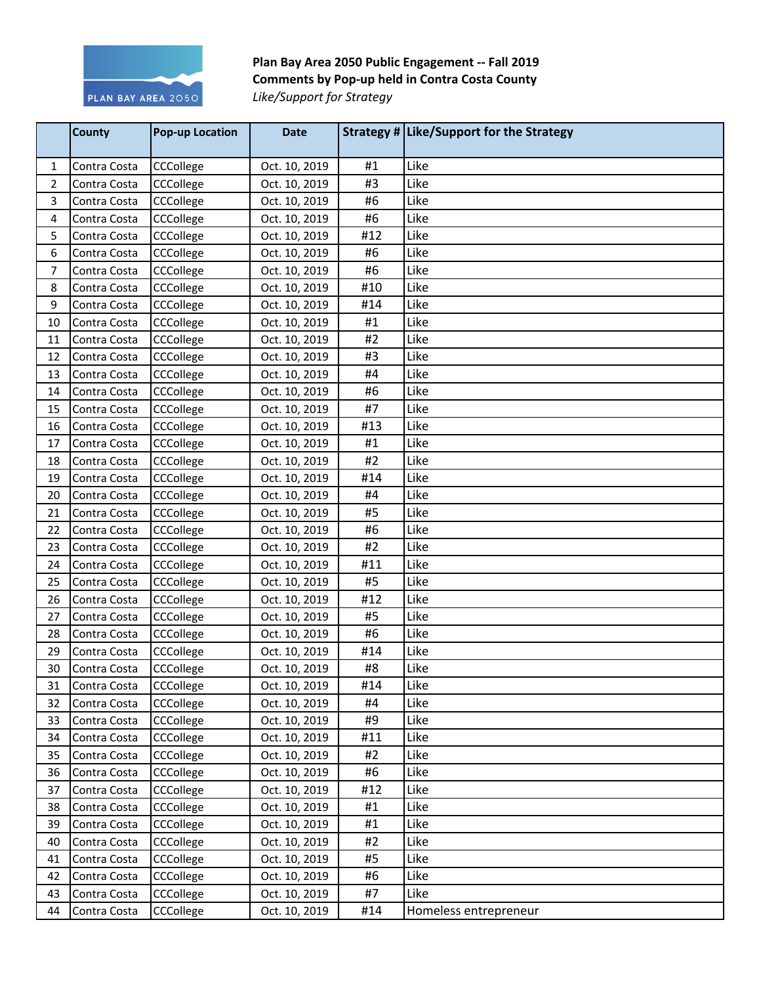

Plan Bay Area 2050 Public Engagement -- Fall 2019 **Comments by Pop-up held in Contra Costa County Like/Support for Strategy** 

|    | <b>County</b> | <b>Pop-up Location</b> | <b>Date</b>   |     | Strategy # Like/Support for the Strategy |
|----|---------------|------------------------|---------------|-----|------------------------------------------|
| 1  | Contra Costa  | CCCollege              | Oct. 10, 2019 | #1  | Like                                     |
| 2  | Contra Costa  | CCCollege              | Oct. 10, 2019 | #3  | Like                                     |
| 3  | Contra Costa  | CCCollege              | Oct. 10, 2019 | #6  | Like                                     |
| 4  | Contra Costa  | CCCollege              | Oct. 10, 2019 | #6  | Like                                     |
| 5  | Contra Costa  | CCCollege              | Oct. 10, 2019 | #12 | Like                                     |
| 6  | Contra Costa  | CCCollege              | Oct. 10, 2019 | #6  | Like                                     |
| 7  | Contra Costa  | CCCollege              | Oct. 10, 2019 | #6  | Like                                     |
| 8  | Contra Costa  | CCCollege              | Oct. 10, 2019 | #10 | Like                                     |
| 9  | Contra Costa  | CCCollege              | Oct. 10, 2019 | #14 | Like                                     |
| 10 | Contra Costa  | CCCollege              | Oct. 10, 2019 | #1  | Like                                     |
| 11 | Contra Costa  | CCCollege              | Oct. 10, 2019 | #2  | Like                                     |
| 12 | Contra Costa  | CCCollege              | Oct. 10, 2019 | #3  | Like                                     |
| 13 | Contra Costa  | CCCollege              | Oct. 10, 2019 | #4  | Like                                     |
| 14 | Contra Costa  | CCCollege              | Oct. 10, 2019 | #6  | Like                                     |
| 15 | Contra Costa  | CCCollege              | Oct. 10, 2019 | #7  | Like                                     |
| 16 | Contra Costa  | CCCollege              | Oct. 10, 2019 | #13 | Like                                     |
| 17 | Contra Costa  | CCCollege              | Oct. 10, 2019 | #1  | Like                                     |
| 18 | Contra Costa  | CCCollege              | Oct. 10, 2019 | #2  | Like                                     |
| 19 | Contra Costa  | CCCollege              | Oct. 10, 2019 | #14 | Like                                     |
| 20 | Contra Costa  | CCCollege              | Oct. 10, 2019 | #4  | Like                                     |
| 21 | Contra Costa  | CCCollege              | Oct. 10, 2019 | #5  | Like                                     |
| 22 | Contra Costa  | CCCollege              | Oct. 10, 2019 | #6  | Like                                     |
| 23 | Contra Costa  | CCCollege              | Oct. 10, 2019 | #2  | Like                                     |
| 24 | Contra Costa  | CCCollege              | Oct. 10, 2019 | #11 | Like                                     |
| 25 | Contra Costa  | CCCollege              | Oct. 10, 2019 | #5  | Like                                     |
| 26 | Contra Costa  | CCCollege              | Oct. 10, 2019 | #12 | Like                                     |
| 27 | Contra Costa  | CCCollege              | Oct. 10, 2019 | #5  | Like                                     |
| 28 | Contra Costa  | CCCollege              | Oct. 10, 2019 | #6  | Like                                     |
| 29 | Contra Costa  | CCCollege              | Oct. 10, 2019 | #14 | Like                                     |
| 30 | Contra Costa  | CCCollege              | Oct. 10, 2019 | #8  | Like                                     |
| 31 | Contra Costa  | CCCollege              | Oct. 10, 2019 | #14 | Like                                     |
| 32 | Contra Costa  | CCCollege              | Oct. 10, 2019 | #4  | Like                                     |
| 33 | Contra Costa  | CCCollege              | Oct. 10, 2019 | #9  | Like                                     |
| 34 | Contra Costa  | CCCollege              | Oct. 10, 2019 | #11 | Like                                     |
| 35 | Contra Costa  | CCCollege              | Oct. 10, 2019 | #2  | Like                                     |
| 36 | Contra Costa  | CCCollege              | Oct. 10, 2019 | #6  | Like                                     |
| 37 | Contra Costa  | CCCollege              | Oct. 10, 2019 | #12 | Like                                     |
| 38 | Contra Costa  | CCCollege              | Oct. 10, 2019 | #1  | Like                                     |
| 39 | Contra Costa  | CCCollege              | Oct. 10, 2019 | #1  | Like                                     |
| 40 | Contra Costa  | CCCollege              | Oct. 10, 2019 | #2  | Like                                     |
| 41 | Contra Costa  | CCCollege              | Oct. 10, 2019 | #5  | Like                                     |
| 42 | Contra Costa  | CCCollege              | Oct. 10, 2019 | #6  | Like                                     |
| 43 | Contra Costa  | CCCollege              | Oct. 10, 2019 | #7  | Like                                     |
| 44 | Contra Costa  | CCCollege              | Oct. 10, 2019 | #14 | Homeless entrepreneur                    |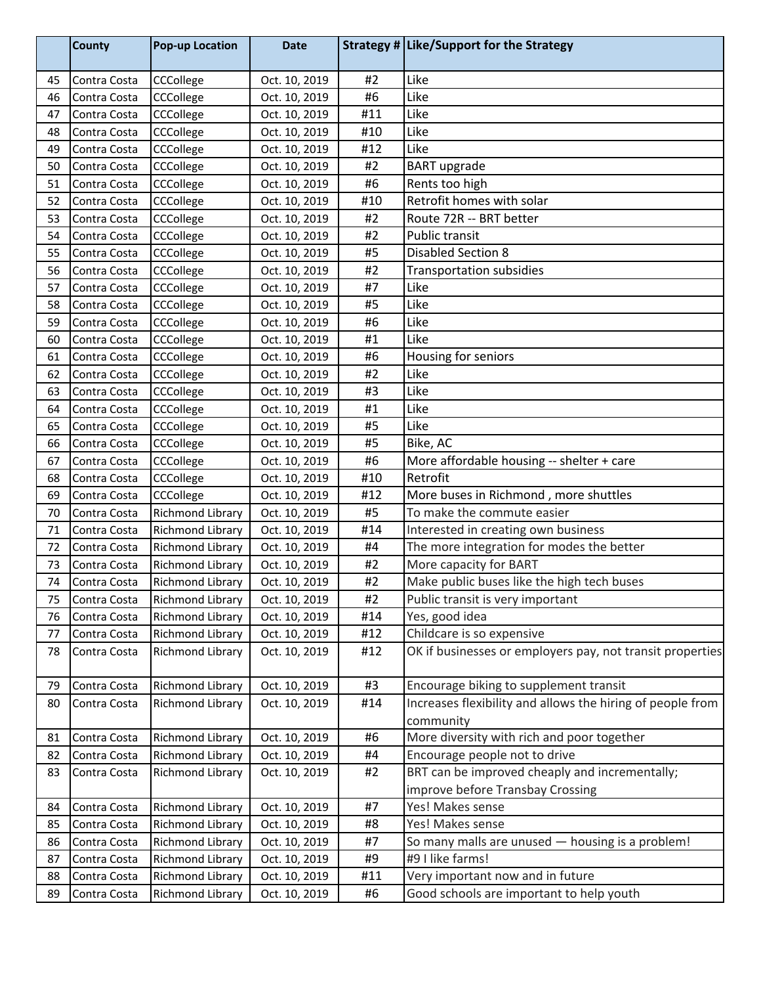|    | <b>County</b> | <b>Pop-up Location</b>  | <b>Date</b>   |     | Strategy # Like/Support for the Strategy                                |
|----|---------------|-------------------------|---------------|-----|-------------------------------------------------------------------------|
| 45 | Contra Costa  | CCCollege               | Oct. 10, 2019 | #2  | Like                                                                    |
| 46 | Contra Costa  | CCCollege               | Oct. 10, 2019 | #6  | Like                                                                    |
| 47 | Contra Costa  | CCCollege               | Oct. 10, 2019 | #11 | Like                                                                    |
| 48 | Contra Costa  | CCCollege               | Oct. 10, 2019 | #10 | Like                                                                    |
| 49 | Contra Costa  | CCCollege               | Oct. 10, 2019 | #12 | Like                                                                    |
| 50 | Contra Costa  | CCCollege               | Oct. 10, 2019 | #2  | <b>BART</b> upgrade                                                     |
| 51 | Contra Costa  | CCCollege               | Oct. 10, 2019 | #6  | Rents too high                                                          |
| 52 | Contra Costa  | CCCollege               | Oct. 10, 2019 | #10 | Retrofit homes with solar                                               |
| 53 | Contra Costa  | CCCollege               | Oct. 10, 2019 | #2  | Route 72R -- BRT better                                                 |
| 54 | Contra Costa  | CCCollege               | Oct. 10, 2019 | #2  | Public transit                                                          |
| 55 | Contra Costa  | CCCollege               | Oct. 10, 2019 | #5  | <b>Disabled Section 8</b>                                               |
| 56 | Contra Costa  | CCCollege               | Oct. 10, 2019 | #2  | <b>Transportation subsidies</b>                                         |
| 57 | Contra Costa  | CCCollege               | Oct. 10, 2019 | #7  | Like                                                                    |
| 58 | Contra Costa  | CCCollege               | Oct. 10, 2019 | #5  | Like                                                                    |
| 59 | Contra Costa  | CCCollege               | Oct. 10, 2019 | #6  | Like                                                                    |
| 60 | Contra Costa  | CCCollege               | Oct. 10, 2019 | #1  | Like                                                                    |
| 61 | Contra Costa  | CCCollege               | Oct. 10, 2019 | #6  | Housing for seniors                                                     |
| 62 | Contra Costa  | CCCollege               | Oct. 10, 2019 | #2  | Like                                                                    |
| 63 | Contra Costa  | CCCollege               | Oct. 10, 2019 | #3  | Like                                                                    |
| 64 | Contra Costa  | CCCollege               | Oct. 10, 2019 | #1  | Like                                                                    |
| 65 | Contra Costa  | CCCollege               | Oct. 10, 2019 | #5  | Like                                                                    |
| 66 | Contra Costa  | CCCollege               | Oct. 10, 2019 | #5  | Bike, AC                                                                |
| 67 | Contra Costa  | CCCollege               | Oct. 10, 2019 | #6  | More affordable housing -- shelter + care                               |
| 68 | Contra Costa  | CCCollege               | Oct. 10, 2019 | #10 | Retrofit                                                                |
| 69 | Contra Costa  | CCCollege               | Oct. 10, 2019 | #12 | More buses in Richmond, more shuttles                                   |
| 70 | Contra Costa  | Richmond Library        | Oct. 10, 2019 | #5  | To make the commute easier                                              |
| 71 | Contra Costa  | Richmond Library        | Oct. 10, 2019 | #14 | Interested in creating own business                                     |
| 72 | Contra Costa  | Richmond Library        | Oct. 10, 2019 | #4  | The more integration for modes the better                               |
| 73 | Contra Costa  | Richmond Library        | Oct. 10, 2019 | #2  | More capacity for BART                                                  |
| 74 | Contra Costa  | Richmond Library        | Oct. 10, 2019 | #2  | Make public buses like the high tech buses                              |
| 75 | Contra Costa  | Richmond Library        | Oct. 10, 2019 | #2  | Public transit is very important                                        |
| 76 | Contra Costa  | Richmond Library        | Oct. 10, 2019 | #14 | Yes, good idea                                                          |
| 77 | Contra Costa  | Richmond Library        | Oct. 10, 2019 | #12 | Childcare is so expensive                                               |
| 78 | Contra Costa  | Richmond Library        | Oct. 10, 2019 | #12 | OK if businesses or employers pay, not transit properties               |
| 79 | Contra Costa  | Richmond Library        | Oct. 10, 2019 | #3  | Encourage biking to supplement transit                                  |
| 80 | Contra Costa  | Richmond Library        | Oct. 10, 2019 | #14 | Increases flexibility and allows the hiring of people from<br>community |
| 81 | Contra Costa  | Richmond Library        | Oct. 10, 2019 | #6  | More diversity with rich and poor together                              |
| 82 | Contra Costa  | <b>Richmond Library</b> | Oct. 10, 2019 | #4  | Encourage people not to drive                                           |
| 83 | Contra Costa  | Richmond Library        | Oct. 10, 2019 | #2  | BRT can be improved cheaply and incrementally;                          |
|    |               |                         |               |     | improve before Transbay Crossing                                        |
| 84 | Contra Costa  | Richmond Library        | Oct. 10, 2019 | #7  | Yes! Makes sense                                                        |
| 85 | Contra Costa  | Richmond Library        | Oct. 10, 2019 | #8  | Yes! Makes sense                                                        |
| 86 | Contra Costa  | Richmond Library        | Oct. 10, 2019 | #7  | So many malls are unused - housing is a problem!                        |
| 87 | Contra Costa  | Richmond Library        | Oct. 10, 2019 | #9  | #9 I like farms!                                                        |
| 88 | Contra Costa  | Richmond Library        | Oct. 10, 2019 | #11 | Very important now and in future                                        |
| 89 | Contra Costa  | Richmond Library        | Oct. 10, 2019 | #6  | Good schools are important to help youth                                |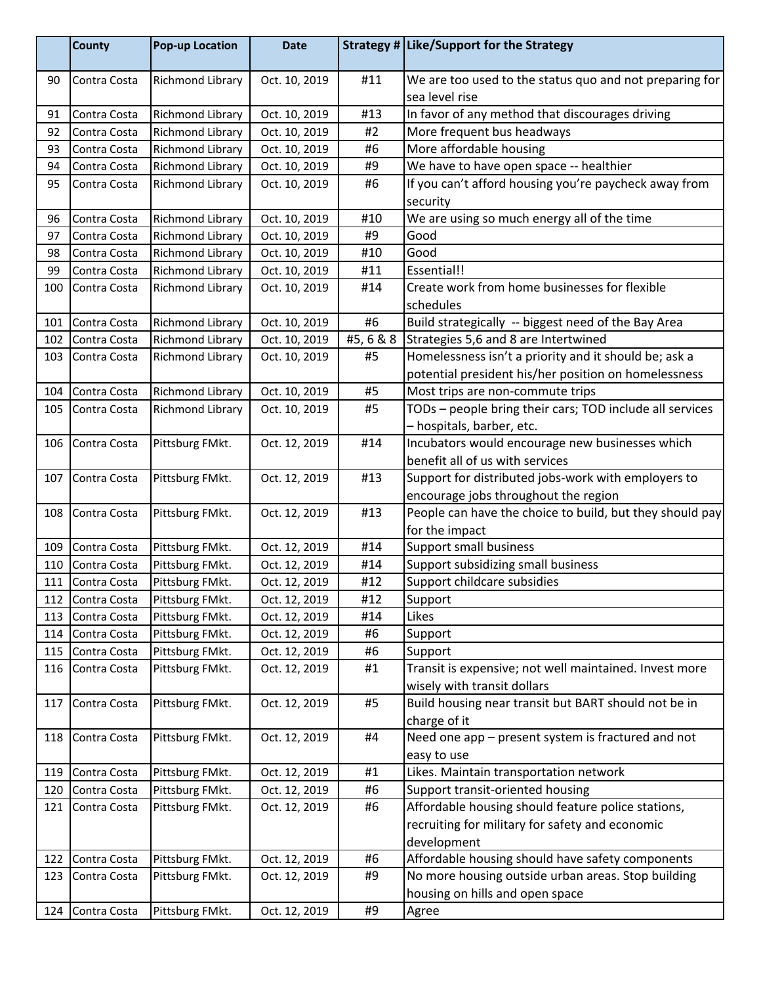|            | <b>County</b> | <b>Pop-up Location</b>  | <b>Date</b>   |           | Strategy # Like/Support for the Strategy                                                         |
|------------|---------------|-------------------------|---------------|-----------|--------------------------------------------------------------------------------------------------|
| 90         | Contra Costa  | Richmond Library        | Oct. 10, 2019 | #11       | We are too used to the status quo and not preparing for                                          |
|            |               |                         |               |           | sea level rise                                                                                   |
| 91         | Contra Costa  | Richmond Library        | Oct. 10, 2019 | #13       | In favor of any method that discourages driving                                                  |
| 92         | Contra Costa  | Richmond Library        | Oct. 10, 2019 | #2        | More frequent bus headways                                                                       |
| 93         | Contra Costa  | <b>Richmond Library</b> | Oct. 10, 2019 | #6        | More affordable housing                                                                          |
| 94         | Contra Costa  | <b>Richmond Library</b> | Oct. 10, 2019 | #9        | We have to have open space -- healthier                                                          |
| 95         | Contra Costa  | Richmond Library        | Oct. 10, 2019 | #6        | If you can't afford housing you're paycheck away from                                            |
|            |               |                         |               |           | security                                                                                         |
| 96         | Contra Costa  | <b>Richmond Library</b> | Oct. 10, 2019 | #10       | We are using so much energy all of the time                                                      |
| 97         | Contra Costa  | Richmond Library        | Oct. 10, 2019 | #9        | Good                                                                                             |
| 98         | Contra Costa  | <b>Richmond Library</b> | Oct. 10, 2019 | #10       | Good                                                                                             |
| 99         | Contra Costa  | <b>Richmond Library</b> | Oct. 10, 2019 | #11       | Essential!!                                                                                      |
| 100        | Contra Costa  | Richmond Library        | Oct. 10, 2019 | #14       | Create work from home businesses for flexible                                                    |
|            |               |                         |               |           | schedules                                                                                        |
| 101        | Contra Costa  | <b>Richmond Library</b> | Oct. 10, 2019 | #6        | Build strategically -- biggest need of the Bay Area                                              |
| 102        | Contra Costa  | <b>Richmond Library</b> | Oct. 10, 2019 | #5, 6 & 8 | Strategies 5,6 and 8 are Intertwined                                                             |
| 103        | Contra Costa  | Richmond Library        | Oct. 10, 2019 | #5        | Homelessness isn't a priority and it should be; ask a                                            |
|            |               |                         |               |           | potential president his/her position on homelessness                                             |
| 104        | Contra Costa  | <b>Richmond Library</b> | Oct. 10, 2019 | #5        | Most trips are non-commute trips                                                                 |
| 105        | Contra Costa  | Richmond Library        | Oct. 10, 2019 | #5        | TODs - people bring their cars; TOD include all services                                         |
|            |               |                         |               |           |                                                                                                  |
|            | Contra Costa  | Pittsburg FMkt.         | Oct. 12, 2019 | #14       | - hospitals, barber, etc.<br>Incubators would encourage new businesses which                     |
| 106        |               |                         |               |           | benefit all of us with services                                                                  |
| 107        | Contra Costa  | Pittsburg FMkt.         | Oct. 12, 2019 | #13       | Support for distributed jobs-work with employers to                                              |
|            |               |                         |               |           |                                                                                                  |
| 108        | Contra Costa  | Pittsburg FMkt.         | Oct. 12, 2019 | #13       | encourage jobs throughout the region<br>People can have the choice to build, but they should pay |
|            |               |                         |               |           |                                                                                                  |
|            | Contra Costa  |                         |               | #14       | for the impact<br><b>Support small business</b>                                                  |
| 109<br>110 |               | Pittsburg FMkt.         | Oct. 12, 2019 | #14       |                                                                                                  |
|            | Contra Costa  | Pittsburg FMkt.         | Oct. 12, 2019 | #12       | Support subsidizing small business                                                               |
| 111        | Contra Costa  | Pittsburg FMkt.         | Oct. 12, 2019 |           | Support childcare subsidies                                                                      |
| 112        | Contra Costa  | Pittsburg FMkt.         | Oct. 12, 2019 | #12       | Support                                                                                          |
| 113        | Contra Costa  | Pittsburg FMkt.         | Oct. 12, 2019 | #14       | Likes                                                                                            |
| 114        | Contra Costa  | Pittsburg FMkt.         | Oct. 12, 2019 | #6        | Support                                                                                          |
| 115        | Contra Costa  | Pittsburg FMkt.         | Oct. 12, 2019 | #6        | Support                                                                                          |
| 116        | Contra Costa  | Pittsburg FMkt.         | Oct. 12, 2019 | #1        | Transit is expensive; not well maintained. Invest more                                           |
|            |               |                         |               |           | wisely with transit dollars                                                                      |
| 117        | Contra Costa  | Pittsburg FMkt.         | Oct. 12, 2019 | #5        | Build housing near transit but BART should not be in                                             |
|            |               |                         |               |           | charge of it                                                                                     |
| 118        | Contra Costa  | Pittsburg FMkt.         | Oct. 12, 2019 | #4        | Need one app - present system is fractured and not                                               |
|            |               |                         |               |           | easy to use                                                                                      |
| 119        | Contra Costa  | Pittsburg FMkt.         | Oct. 12, 2019 | #1        | Likes. Maintain transportation network                                                           |
| 120        | Contra Costa  | Pittsburg FMkt.         | Oct. 12, 2019 | #6        | Support transit-oriented housing                                                                 |
| 121        | Contra Costa  | Pittsburg FMkt.         | Oct. 12, 2019 | #6        | Affordable housing should feature police stations,                                               |
|            |               |                         |               |           | recruiting for military for safety and economic                                                  |
|            |               |                         |               |           | development                                                                                      |
| 122        | Contra Costa  | Pittsburg FMkt.         | Oct. 12, 2019 | #6        | Affordable housing should have safety components                                                 |
| 123        | Contra Costa  | Pittsburg FMkt.         | Oct. 12, 2019 | #9        | No more housing outside urban areas. Stop building                                               |
|            |               |                         |               |           | housing on hills and open space                                                                  |
| 124        | Contra Costa  | Pittsburg FMkt.         | Oct. 12, 2019 | #9        | Agree                                                                                            |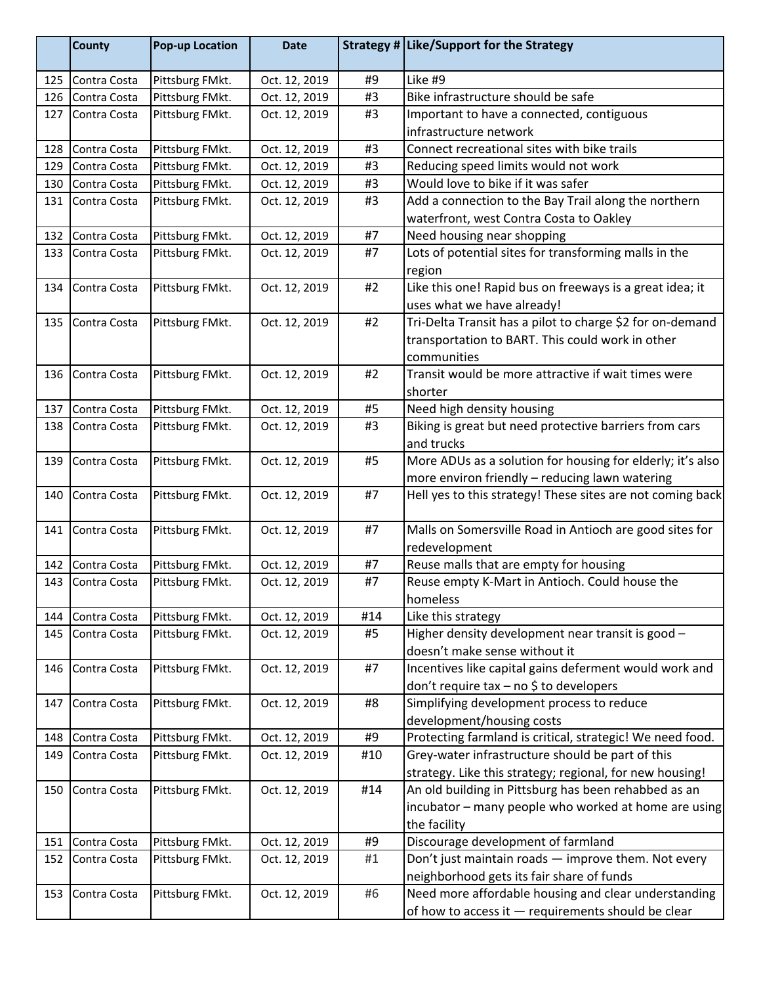|     | <b>County</b> | <b>Pop-up Location</b> | <b>Date</b>   |     | Strategy # Like/Support for the Strategy                                 |
|-----|---------------|------------------------|---------------|-----|--------------------------------------------------------------------------|
| 125 | Contra Costa  | Pittsburg FMkt.        | Oct. 12, 2019 | #9  | Like #9                                                                  |
| 126 | Contra Costa  | Pittsburg FMkt.        | Oct. 12, 2019 | #3  | Bike infrastructure should be safe                                       |
| 127 | Contra Costa  | Pittsburg FMkt.        | Oct. 12, 2019 | #3  | Important to have a connected, contiguous                                |
|     |               |                        |               |     | infrastructure network                                                   |
| 128 | Contra Costa  | Pittsburg FMkt.        | Oct. 12, 2019 | #3  | Connect recreational sites with bike trails                              |
| 129 | Contra Costa  | Pittsburg FMkt.        | Oct. 12, 2019 | #3  | Reducing speed limits would not work                                     |
| 130 | Contra Costa  | Pittsburg FMkt.        | Oct. 12, 2019 | #3  | Would love to bike if it was safer                                       |
| 131 | Contra Costa  | Pittsburg FMkt.        | Oct. 12, 2019 | #3  | Add a connection to the Bay Trail along the northern                     |
|     |               |                        |               |     | waterfront, west Contra Costa to Oakley                                  |
| 132 | Contra Costa  | Pittsburg FMkt.        | Oct. 12, 2019 | #7  | Need housing near shopping                                               |
| 133 | Contra Costa  | Pittsburg FMkt.        | Oct. 12, 2019 | #7  | Lots of potential sites for transforming malls in the                    |
|     |               |                        |               |     | region                                                                   |
| 134 | Contra Costa  | Pittsburg FMkt.        | Oct. 12, 2019 | #2  | Like this one! Rapid bus on freeways is a great idea; it                 |
|     |               |                        |               |     | uses what we have already!                                               |
| 135 | Contra Costa  | Pittsburg FMkt.        | Oct. 12, 2019 | #2  | Tri-Delta Transit has a pilot to charge \$2 for on-demand                |
|     |               |                        |               |     | transportation to BART. This could work in other                         |
|     |               |                        |               |     | communities                                                              |
| 136 | Contra Costa  | Pittsburg FMkt.        | Oct. 12, 2019 | #2  | Transit would be more attractive if wait times were                      |
|     |               |                        |               |     | shorter                                                                  |
| 137 | Contra Costa  | Pittsburg FMkt.        | Oct. 12, 2019 | #5  | Need high density housing                                                |
| 138 | Contra Costa  | Pittsburg FMkt.        | Oct. 12, 2019 | #3  | Biking is great but need protective barriers from cars                   |
|     |               |                        |               |     | and trucks                                                               |
| 139 | Contra Costa  | Pittsburg FMkt.        | Oct. 12, 2019 | #5  | More ADUs as a solution for housing for elderly; it's also               |
|     |               |                        |               |     | more environ friendly - reducing lawn watering                           |
| 140 | Contra Costa  | Pittsburg FMkt.        | Oct. 12, 2019 | #7  | Hell yes to this strategy! These sites are not coming back               |
|     | Contra Costa  |                        | Oct. 12, 2019 | #7  |                                                                          |
| 141 |               | Pittsburg FMkt.        |               |     | Malls on Somersville Road in Antioch are good sites for<br>redevelopment |
| 142 | Contra Costa  | Pittsburg FMkt.        | Oct. 12, 2019 | #7  | Reuse malls that are empty for housing                                   |
| 143 | Contra Costa  | Pittsburg FMkt.        | Oct. 12, 2019 | #7  | Reuse empty K-Mart in Antioch. Could house the                           |
|     |               |                        |               |     | homeless                                                                 |
| 144 | Contra Costa  | Pittsburg FMkt.        | Oct. 12, 2019 | #14 | Like this strategy                                                       |
| 145 | Contra Costa  | Pittsburg FMkt.        | Oct. 12, 2019 | #5  | Higher density development near transit is good -                        |
|     |               |                        |               |     | doesn't make sense without it                                            |
| 146 | Contra Costa  | Pittsburg FMkt.        | Oct. 12, 2019 | #7  | Incentives like capital gains deferment would work and                   |
|     |               |                        |               |     | don't require tax $-$ no \$ to developers                                |
| 147 | Contra Costa  | Pittsburg FMkt.        | Oct. 12, 2019 | #8  | Simplifying development process to reduce                                |
|     |               |                        |               |     | development/housing costs                                                |
| 148 | Contra Costa  | Pittsburg FMkt.        | Oct. 12, 2019 | #9  | Protecting farmland is critical, strategic! We need food.                |
| 149 | Contra Costa  | Pittsburg FMkt.        | Oct. 12, 2019 | #10 | Grey-water infrastructure should be part of this                         |
|     |               |                        |               |     | strategy. Like this strategy; regional, for new housing!                 |
| 150 | Contra Costa  | Pittsburg FMkt.        | Oct. 12, 2019 | #14 | An old building in Pittsburg has been rehabbed as an                     |
|     |               |                        |               |     | incubator – many people who worked at home are using                     |
|     |               |                        |               |     | the facility                                                             |
| 151 | Contra Costa  | Pittsburg FMkt.        | Oct. 12, 2019 | #9  | Discourage development of farmland                                       |
| 152 | Contra Costa  | Pittsburg FMkt.        | Oct. 12, 2019 | #1  | Don't just maintain roads - improve them. Not every                      |
|     |               |                        |               |     | neighborhood gets its fair share of funds                                |
| 153 | Contra Costa  | Pittsburg FMkt.        | Oct. 12, 2019 | #6  | Need more affordable housing and clear understanding                     |
|     |               |                        |               |     | of how to access it - requirements should be clear                       |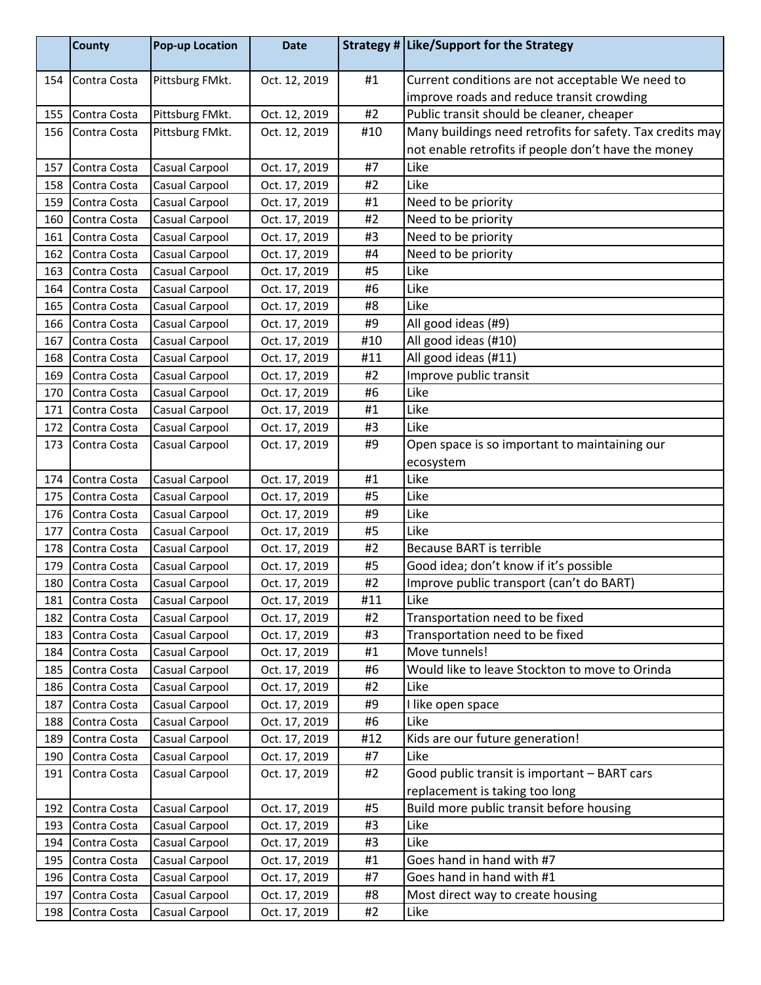|     | <b>County</b> | <b>Pop-up Location</b> | <b>Date</b>   |     | Strategy # Like/Support for the Strategy                  |
|-----|---------------|------------------------|---------------|-----|-----------------------------------------------------------|
| 154 | Contra Costa  | Pittsburg FMkt.        | Oct. 12, 2019 | #1  | Current conditions are not acceptable We need to          |
|     |               |                        |               |     | improve roads and reduce transit crowding                 |
| 155 | Contra Costa  | Pittsburg FMkt.        | Oct. 12, 2019 | #2  | Public transit should be cleaner, cheaper                 |
| 156 | Contra Costa  | Pittsburg FMkt.        | Oct. 12, 2019 | #10 | Many buildings need retrofits for safety. Tax credits may |
|     |               |                        |               |     | not enable retrofits if people don't have the money       |
| 157 | Contra Costa  | Casual Carpool         | Oct. 17, 2019 | #7  | Like                                                      |
| 158 | Contra Costa  | Casual Carpool         | Oct. 17, 2019 | #2  | Like                                                      |
| 159 | Contra Costa  | Casual Carpool         | Oct. 17, 2019 | #1  | Need to be priority                                       |
| 160 | Contra Costa  | Casual Carpool         | Oct. 17, 2019 | #2  | Need to be priority                                       |
| 161 | Contra Costa  | Casual Carpool         | Oct. 17, 2019 | #3  | Need to be priority                                       |
| 162 | Contra Costa  | Casual Carpool         | Oct. 17, 2019 | #4  | Need to be priority                                       |
| 163 | Contra Costa  | Casual Carpool         | Oct. 17, 2019 | #5  | Like                                                      |
| 164 | Contra Costa  | Casual Carpool         | Oct. 17, 2019 | #6  | Like                                                      |
| 165 | Contra Costa  | Casual Carpool         | Oct. 17, 2019 | #8  | Like                                                      |
| 166 | Contra Costa  | Casual Carpool         | Oct. 17, 2019 | #9  | All good ideas (#9)                                       |
| 167 | Contra Costa  | Casual Carpool         | Oct. 17, 2019 | #10 | All good ideas (#10)                                      |
| 168 | Contra Costa  | Casual Carpool         | Oct. 17, 2019 | #11 | All good ideas (#11)                                      |
| 169 | Contra Costa  | Casual Carpool         | Oct. 17, 2019 | #2  | Improve public transit                                    |
| 170 | Contra Costa  | Casual Carpool         | Oct. 17, 2019 | #6  | Like                                                      |
| 171 | Contra Costa  | Casual Carpool         | Oct. 17, 2019 | #1  | Like                                                      |
| 172 | Contra Costa  | Casual Carpool         | Oct. 17, 2019 | #3  | Like                                                      |
| 173 | Contra Costa  | Casual Carpool         | Oct. 17, 2019 | #9  | Open space is so important to maintaining our             |
|     |               |                        |               |     | ecosystem                                                 |
| 174 | Contra Costa  | Casual Carpool         | Oct. 17, 2019 | #1  | Like                                                      |
| 175 | Contra Costa  | Casual Carpool         | Oct. 17, 2019 | #5  | Like                                                      |
| 176 | Contra Costa  | Casual Carpool         | Oct. 17, 2019 | #9  | Like                                                      |
| 177 | Contra Costa  | Casual Carpool         | Oct. 17, 2019 | #5  | Like                                                      |
| 178 | Contra Costa  | Casual Carpool         | Oct. 17, 2019 | #2  | <b>Because BART is terrible</b>                           |
| 179 | Contra Costa  | Casual Carpool         | Oct. 17, 2019 | #5  | Good idea; don't know if it's possible                    |
| 180 | Contra Costa  | Casual Carpool         | Oct. 17, 2019 | #2  | Improve public transport (can't do BART)                  |
| 181 | Contra Costa  | <b>Casual Carpool</b>  | Oct. 17, 2019 | #11 | Like                                                      |
| 182 | Contra Costa  | Casual Carpool         | Oct. 17, 2019 | #2  | Transportation need to be fixed                           |
| 183 | Contra Costa  | Casual Carpool         | Oct. 17, 2019 | #3  | Transportation need to be fixed                           |
| 184 | Contra Costa  | Casual Carpool         | Oct. 17, 2019 | #1  | Move tunnels!                                             |
| 185 | Contra Costa  | Casual Carpool         | Oct. 17, 2019 | #6  | Would like to leave Stockton to move to Orinda            |
| 186 | Contra Costa  | Casual Carpool         | Oct. 17, 2019 | #2  | Like                                                      |
| 187 | Contra Costa  | Casual Carpool         | Oct. 17, 2019 | #9  | I like open space                                         |
| 188 | Contra Costa  | Casual Carpool         | Oct. 17, 2019 | #6  | Like                                                      |
| 189 | Contra Costa  | Casual Carpool         | Oct. 17, 2019 | #12 | Kids are our future generation!                           |
| 190 | Contra Costa  | Casual Carpool         | Oct. 17, 2019 | #7  | Like                                                      |
| 191 | Contra Costa  | Casual Carpool         | Oct. 17, 2019 | #2  | Good public transit is important - BART cars              |
|     |               |                        |               |     | replacement is taking too long                            |
| 192 | Contra Costa  | Casual Carpool         | Oct. 17, 2019 | #5  | Build more public transit before housing                  |
| 193 | Contra Costa  | Casual Carpool         | Oct. 17, 2019 | #3  | Like                                                      |
| 194 | Contra Costa  | Casual Carpool         | Oct. 17, 2019 | #3  | Like                                                      |
| 195 | Contra Costa  | Casual Carpool         | Oct. 17, 2019 | #1  | Goes hand in hand with #7                                 |
| 196 | Contra Costa  | Casual Carpool         | Oct. 17, 2019 | #7  | Goes hand in hand with #1                                 |
| 197 | Contra Costa  | Casual Carpool         | Oct. 17, 2019 | #8  | Most direct way to create housing                         |
| 198 | Contra Costa  | Casual Carpool         | Oct. 17, 2019 | #2  | Like                                                      |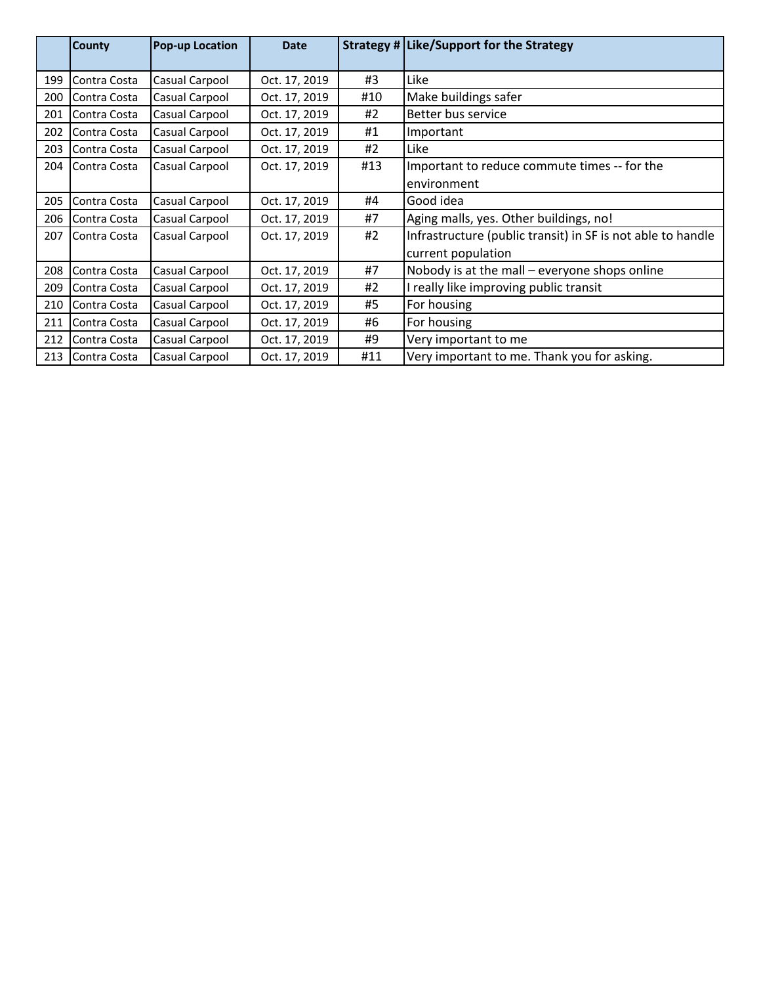|     | <b>County</b>  | <b>Pop-up Location</b> | <b>Date</b>   |     | Strategy # Like/Support for the Strategy                    |
|-----|----------------|------------------------|---------------|-----|-------------------------------------------------------------|
| 199 | Contra Costa   | Casual Carpool         | Oct. 17, 2019 | #3  | Like                                                        |
| 200 | Contra Costa   | Casual Carpool         | Oct. 17, 2019 | #10 | Make buildings safer                                        |
| 201 | Contra Costa   | Casual Carpool         | Oct. 17, 2019 | #2  | Better bus service                                          |
| 202 | Contra Costa   | Casual Carpool         | Oct. 17, 2019 | #1  | Important                                                   |
| 203 | Contra Costa   | Casual Carpool         | Oct. 17, 2019 | #2  | Like                                                        |
| 204 | IContra Costa  | Casual Carpool         | Oct. 17, 2019 | #13 | Important to reduce commute times -- for the                |
|     |                |                        |               |     | environment                                                 |
| 205 | Contra Costa   | Casual Carpool         | Oct. 17, 2019 | #4  | Good idea                                                   |
| 206 | Contra Costa   | Casual Carpool         | Oct. 17, 2019 | #7  | Aging malls, yes. Other buildings, no!                      |
| 207 | l Contra Costa | Casual Carpool         | Oct. 17, 2019 | #2  | Infrastructure (public transit) in SF is not able to handle |
|     |                |                        |               |     | current population                                          |
| 208 | Contra Costa   | Casual Carpool         | Oct. 17, 2019 | #7  | Nobody is at the mall $-$ everyone shops online             |
| 209 | Contra Costa   | Casual Carpool         | Oct. 17, 2019 | #2  | I really like improving public transit                      |
| 210 | Contra Costa   | Casual Carpool         | Oct. 17, 2019 | #5  | For housing                                                 |
| 211 | Contra Costa   | Casual Carpool         | Oct. 17, 2019 | #6  | For housing                                                 |
| 212 | Contra Costa   | Casual Carpool         | Oct. 17, 2019 | #9  | Very important to me                                        |
| 213 | Contra Costa   | Casual Carpool         | Oct. 17, 2019 | #11 | Very important to me. Thank you for asking.                 |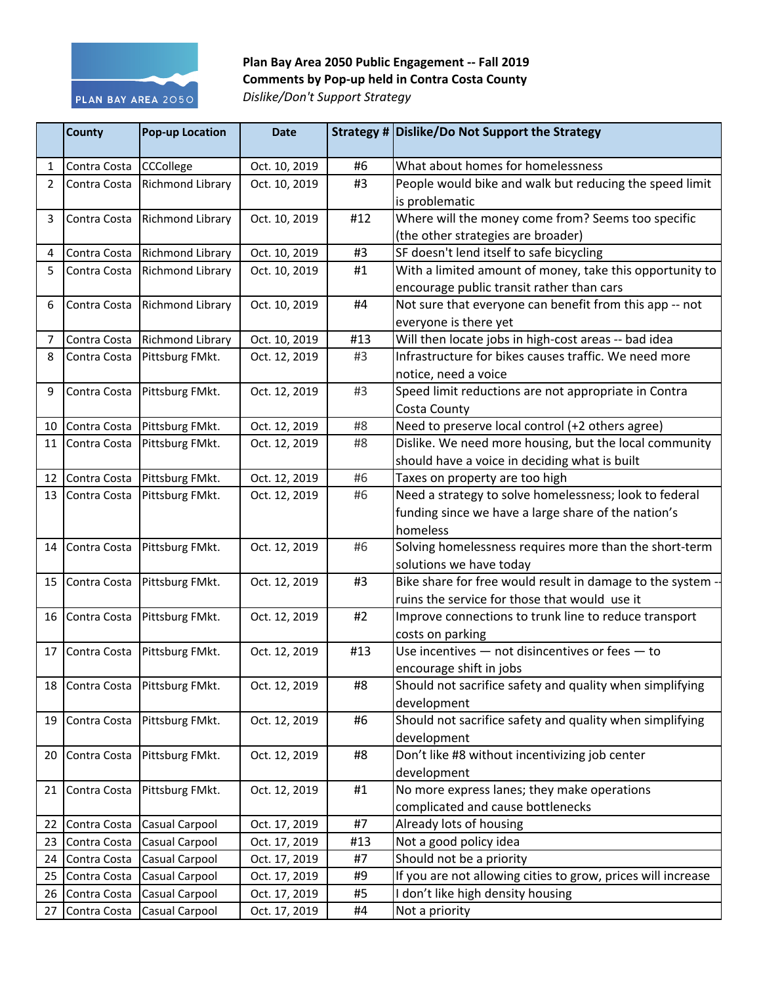

Plan Bay Area 2050 Public Engagement -- Fall 2019 **Comments by Pop-up held in Contra Costa County** *Dislike/Don't Support Strategy*

|    | <b>County</b>   | <b>Pop-up Location</b>          | <b>Date</b>   |     | Strategy # Dislike/Do Not Support the Strategy                                           |
|----|-----------------|---------------------------------|---------------|-----|------------------------------------------------------------------------------------------|
| 1  | Contra Costa    | <b>CCCollege</b>                | Oct. 10, 2019 | #6  | What about homes for homelessness                                                        |
| 2  | Contra Costa    | Richmond Library                | Oct. 10, 2019 | #3  | People would bike and walk but reducing the speed limit<br>is problematic                |
| 3  | Contra Costa    | Richmond Library                | Oct. 10, 2019 | #12 | Where will the money come from? Seems too specific<br>(the other strategies are broader) |
| 4  | Contra Costa    | Richmond Library                | Oct. 10, 2019 | #3  | SF doesn't lend itself to safe bicycling                                                 |
| 5  | Contra Costa    | Richmond Library                | Oct. 10, 2019 | #1  | With a limited amount of money, take this opportunity to                                 |
|    |                 |                                 |               |     | encourage public transit rather than cars                                                |
| 6  | Contra Costa    | Richmond Library                | Oct. 10, 2019 | #4  | Not sure that everyone can benefit from this app -- not<br>everyone is there yet         |
| 7  |                 | Contra Costa Richmond Library   | Oct. 10, 2019 | #13 | Will then locate jobs in high-cost areas -- bad idea                                     |
| 8  | Contra Costa    | Pittsburg FMkt.                 | Oct. 12, 2019 | #3  | Infrastructure for bikes causes traffic. We need more                                    |
|    |                 |                                 |               |     | notice, need a voice                                                                     |
| 9  | Contra Costa    | Pittsburg FMkt.                 | Oct. 12, 2019 | #3  | Speed limit reductions are not appropriate in Contra                                     |
|    |                 |                                 |               |     | Costa County                                                                             |
| 10 | Contra Costa    | Pittsburg FMkt.                 | Oct. 12, 2019 | #8  | Need to preserve local control (+2 others agree)                                         |
| 11 | Contra Costa    | Pittsburg FMkt.                 | Oct. 12, 2019 | #8  | Dislike. We need more housing, but the local community                                   |
|    |                 |                                 |               |     | should have a voice in deciding what is built                                            |
| 12 | Contra Costa    | Pittsburg FMkt.                 | Oct. 12, 2019 | #6  | Taxes on property are too high                                                           |
|    | 13 Contra Costa | Pittsburg FMkt.                 | Oct. 12, 2019 | #6  | Need a strategy to solve homelessness; look to federal                                   |
|    |                 |                                 |               |     | funding since we have a large share of the nation's                                      |
|    |                 |                                 |               |     | homeless                                                                                 |
| 14 | Contra Costa    | Pittsburg FMkt.                 | Oct. 12, 2019 | #6  | Solving homelessness requires more than the short-term                                   |
|    |                 |                                 |               |     | solutions we have today                                                                  |
| 15 | Contra Costa    | Pittsburg FMkt.                 | Oct. 12, 2019 | #3  | Bike share for free would result in damage to the system -                               |
|    |                 |                                 |               |     | ruins the service for those that would use it                                            |
|    | 16 Contra Costa | Pittsburg FMkt.                 | Oct. 12, 2019 | #2  | Improve connections to trunk line to reduce transport                                    |
|    |                 |                                 |               |     | costs on parking                                                                         |
| 17 | Contra Costa    | Pittsburg FMkt.                 | Oct. 12, 2019 | #13 | Use incentives $-$ not disincentives or fees $-$ to                                      |
|    |                 |                                 |               |     | encourage shift in jobs                                                                  |
|    |                 | 18 Contra Costa Pittsburg FMkt. | Oct. 12, 2019 | #8  | Should not sacrifice safety and quality when simplifying                                 |
|    |                 |                                 |               |     | development                                                                              |
|    | 19 Contra Costa | Pittsburg FMkt.                 | Oct. 12, 2019 | #6  | Should not sacrifice safety and quality when simplifying                                 |
|    |                 |                                 |               |     | development                                                                              |
| 20 | Contra Costa    | Pittsburg FMkt.                 | Oct. 12, 2019 | #8  | Don't like #8 without incentivizing job center                                           |
|    |                 |                                 |               |     | development                                                                              |
| 21 | Contra Costa    | Pittsburg FMkt.                 | Oct. 12, 2019 | #1  | No more express lanes; they make operations                                              |
|    |                 |                                 |               |     | complicated and cause bottlenecks                                                        |
| 22 | Contra Costa    | Casual Carpool                  | Oct. 17, 2019 | #7  | Already lots of housing                                                                  |
| 23 | Contra Costa    | Casual Carpool                  | Oct. 17, 2019 | #13 | Not a good policy idea                                                                   |
| 24 | Contra Costa    | Casual Carpool                  | Oct. 17, 2019 | #7  | Should not be a priority                                                                 |
| 25 | Contra Costa    | Casual Carpool                  | Oct. 17, 2019 | #9  | If you are not allowing cities to grow, prices will increase                             |
| 26 | Contra Costa    | Casual Carpool                  | Oct. 17, 2019 | #5  | I don't like high density housing                                                        |
| 27 | Contra Costa    | Casual Carpool                  | Oct. 17, 2019 | #4  | Not a priority                                                                           |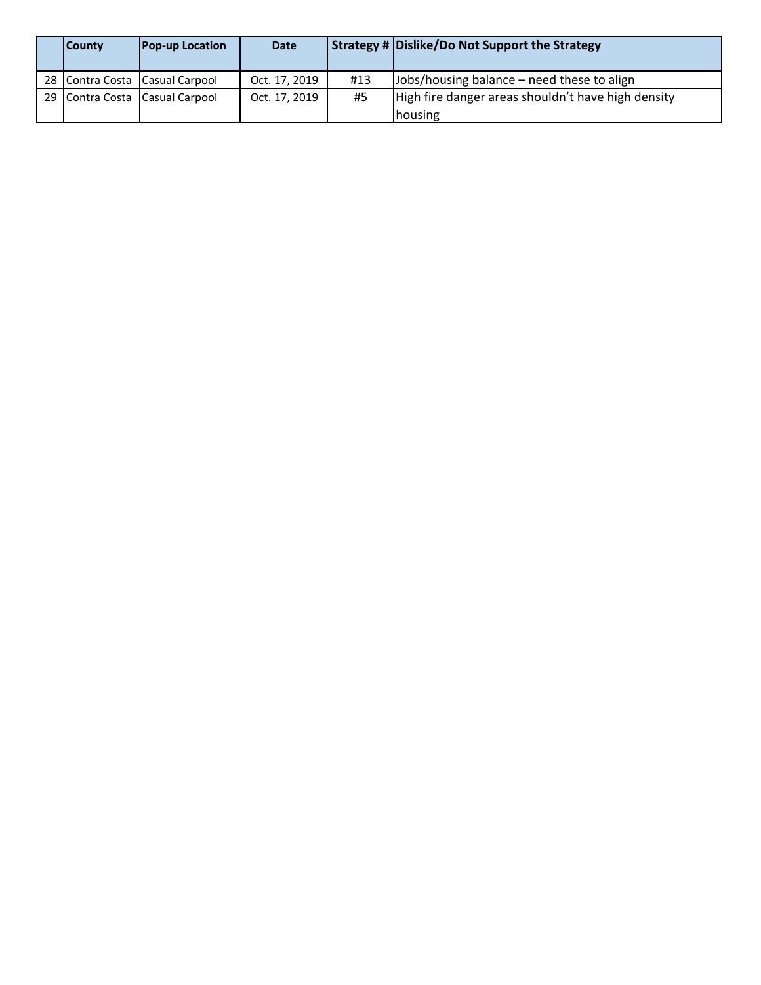| <b>County</b> | <b>Pop-up Location</b>         | <b>Date</b>   |     | Strategy # Dislike/Do Not Support the Strategy                        |
|---------------|--------------------------------|---------------|-----|-----------------------------------------------------------------------|
|               | 28 Contra Costa Casual Carpool | Oct. 17, 2019 | #13 | Jobs/housing balance – need these to align                            |
|               | 29 Contra Costa Casual Carpool | Oct. 17, 2019 | #5  | High fire danger areas shouldn't have high density<br><b>Inousing</b> |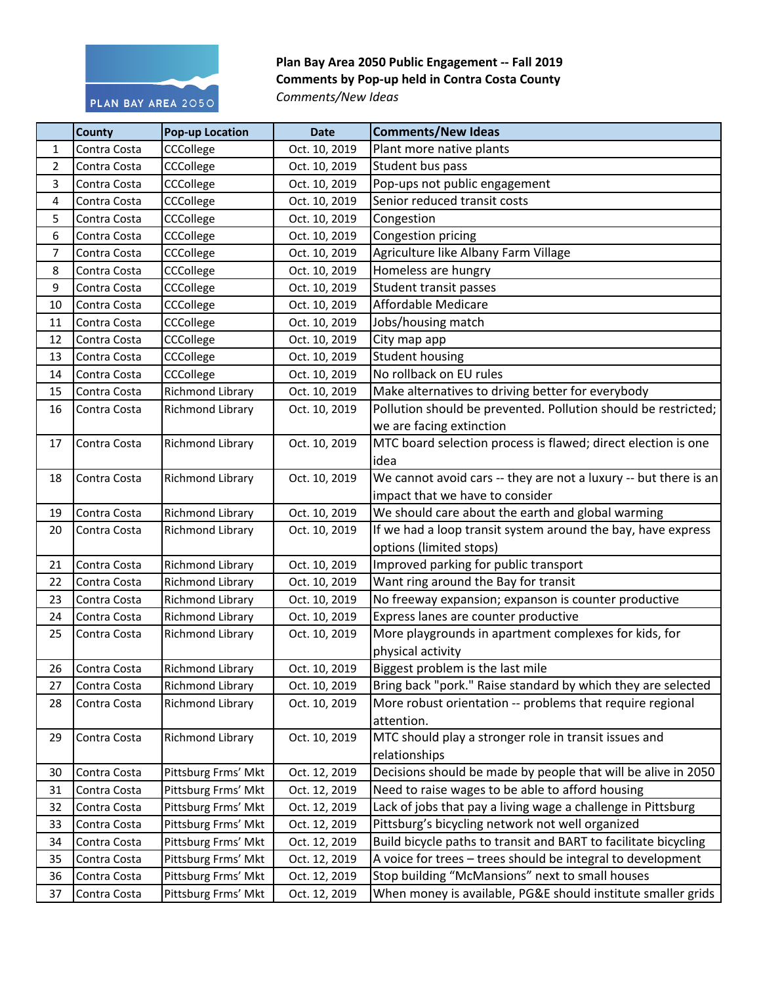

## Plan Bay Area 2050 Public Engagement -- Fall 2019 **Comments by Pop-up held in Contra Costa County** *Comments/New Ideas*

|                | <b>County</b> | <b>Pop-up Location</b>  | <b>Date</b>   | <b>Comments/New Ideas</b>                                        |
|----------------|---------------|-------------------------|---------------|------------------------------------------------------------------|
| $\mathbf{1}$   | Contra Costa  | CCCollege               | Oct. 10, 2019 | Plant more native plants                                         |
| $\overline{2}$ | Contra Costa  | CCCollege               | Oct. 10, 2019 | Student bus pass                                                 |
| $\mathbf{3}$   | Contra Costa  | CCCollege               | Oct. 10, 2019 | Pop-ups not public engagement                                    |
| 4              | Contra Costa  | CCCollege               | Oct. 10, 2019 | Senior reduced transit costs                                     |
| 5              | Contra Costa  | CCCollege               | Oct. 10, 2019 | Congestion                                                       |
| 6              | Contra Costa  | CCCollege               | Oct. 10, 2019 | Congestion pricing                                               |
| $\overline{7}$ | Contra Costa  | CCCollege               | Oct. 10, 2019 | Agriculture like Albany Farm Village                             |
| 8              | Contra Costa  | CCCollege               | Oct. 10, 2019 | Homeless are hungry                                              |
| $\overline{9}$ | Contra Costa  | CCCollege               | Oct. 10, 2019 | Student transit passes                                           |
| 10             | Contra Costa  | CCCollege               | Oct. 10, 2019 | Affordable Medicare                                              |
| 11             | Contra Costa  | CCCollege               | Oct. 10, 2019 | Jobs/housing match                                               |
| 12             | Contra Costa  | CCCollege               | Oct. 10, 2019 | City map app                                                     |
| 13             | Contra Costa  | CCCollege               | Oct. 10, 2019 | <b>Student housing</b>                                           |
| 14             | Contra Costa  | CCCollege               | Oct. 10, 2019 | No rollback on EU rules                                          |
| 15             | Contra Costa  | Richmond Library        | Oct. 10, 2019 | Make alternatives to driving better for everybody                |
| 16             | Contra Costa  | Richmond Library        | Oct. 10, 2019 | Pollution should be prevented. Pollution should be restricted;   |
|                |               |                         |               | we are facing extinction                                         |
| 17             | Contra Costa  | Richmond Library        | Oct. 10, 2019 | MTC board selection process is flawed; direct election is one    |
|                |               |                         |               | idea                                                             |
| 18             | Contra Costa  | Richmond Library        | Oct. 10, 2019 | We cannot avoid cars -- they are not a luxury -- but there is an |
|                |               |                         |               | impact that we have to consider                                  |
| 19             | Contra Costa  | Richmond Library        | Oct. 10, 2019 | We should care about the earth and global warming                |
| 20             | Contra Costa  | Richmond Library        | Oct. 10, 2019 | If we had a loop transit system around the bay, have express     |
|                |               |                         |               | options (limited stops)                                          |
| 21             | Contra Costa  | Richmond Library        | Oct. 10, 2019 | Improved parking for public transport                            |
| 22             | Contra Costa  | <b>Richmond Library</b> | Oct. 10, 2019 | Want ring around the Bay for transit                             |
| 23             | Contra Costa  | Richmond Library        | Oct. 10, 2019 | No freeway expansion; expanson is counter productive             |
| 24             | Contra Costa  | Richmond Library        | Oct. 10, 2019 | Express lanes are counter productive                             |
| 25             | Contra Costa  | Richmond Library        | Oct. 10, 2019 | More playgrounds in apartment complexes for kids, for            |
|                |               |                         |               | physical activity                                                |
| 26             | Contra Costa  | Richmond Library        | Oct. 10, 2019 | Biggest problem is the last mile                                 |
| 27             | Contra Costa  | Richmond Library        | Oct. 10, 2019 | Bring back "pork." Raise standard by which they are selected     |
| 28             | Contra Costa  | Richmond Library        | Oct. 10, 2019 | More robust orientation -- problems that require regional        |
|                |               |                         |               | attention.                                                       |
| 29             | Contra Costa  | Richmond Library        | Oct. 10, 2019 | MTC should play a stronger role in transit issues and            |
|                |               |                         |               | relationships                                                    |
| 30             | Contra Costa  | Pittsburg Frms' Mkt     | Oct. 12, 2019 | Decisions should be made by people that will be alive in 2050    |
| 31             | Contra Costa  | Pittsburg Frms' Mkt     | Oct. 12, 2019 | Need to raise wages to be able to afford housing                 |
| 32             | Contra Costa  | Pittsburg Frms' Mkt     | Oct. 12, 2019 | Lack of jobs that pay a living wage a challenge in Pittsburg     |
| 33             | Contra Costa  | Pittsburg Frms' Mkt     | Oct. 12, 2019 | Pittsburg's bicycling network not well organized                 |
| 34             | Contra Costa  | Pittsburg Frms' Mkt     | Oct. 12, 2019 | Build bicycle paths to transit and BART to facilitate bicycling  |

35 Contra Costa Pittsburg Frms' Mkt | Oct. 12, 2019 | A voice for trees – trees should be integral to development

37 Contra Costa | Pittsburg Frms' Mkt | Oct. 12, 2019 | When money is available, PG&E should institute smaller grids

36 Contra Costa Pittsburg Frms' Mkt | Oct. 12, 2019 Stop building "McMansions" next to small houses